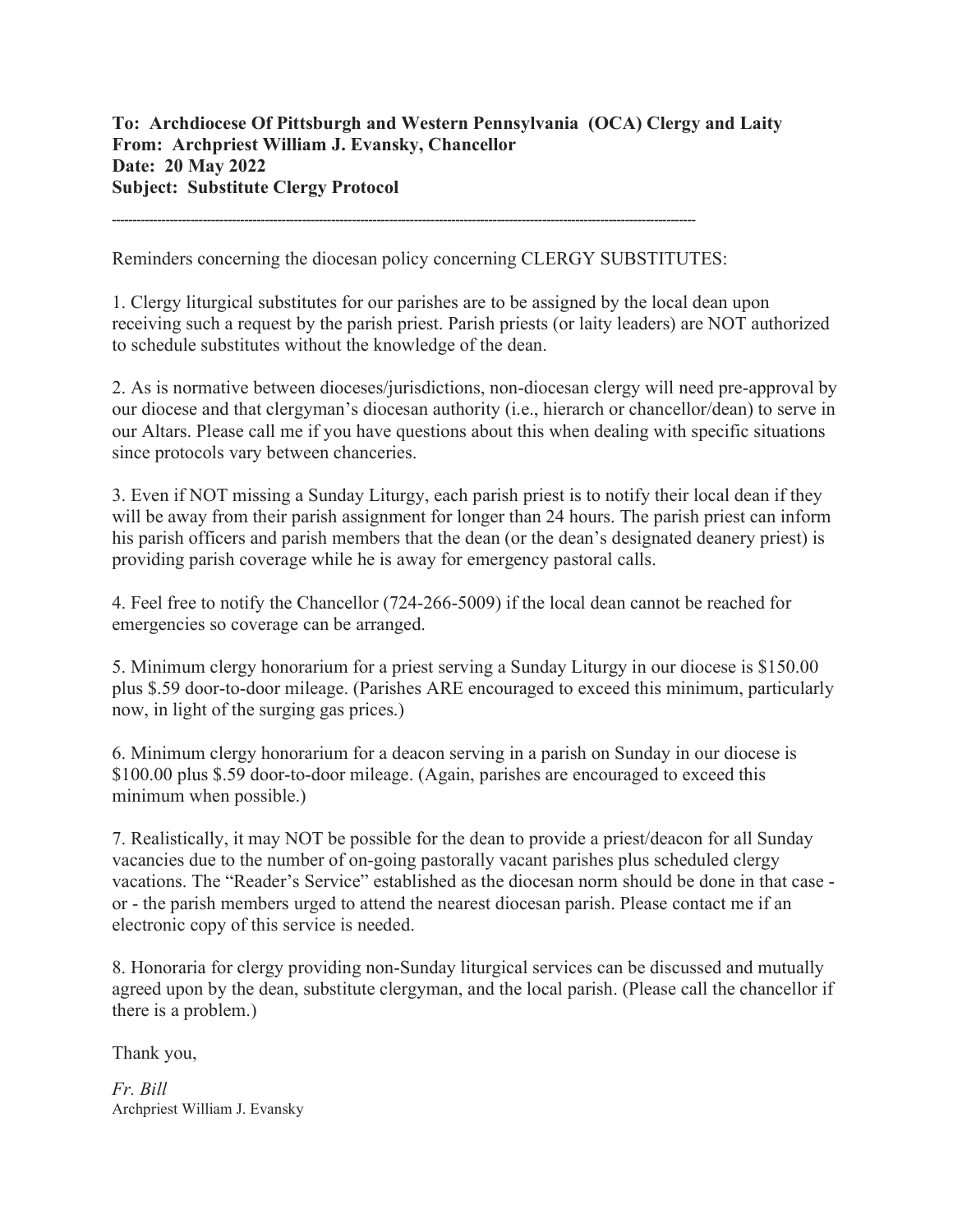## To: Archdiocese Of Pittsburgh and Western Pennsylvania (OCA) Clergy and Laity From: Archpriest William J. Evansky, Chancellor Date: 20 May 2022 Subject: Substitute Clergy Protocol

---------------------------------------------------------------------------------------------------------------------------------------------

Reminders concerning the diocesan policy concerning CLERGY SUBSTITUTES:

1. Clergy liturgical substitutes for our parishes are to be assigned by the local dean upon receiving such a request by the parish priest. Parish priests (or laity leaders) are NOT authorized to schedule substitutes without the knowledge of the dean.

2. As is normative between dioceses/jurisdictions, non-diocesan clergy will need pre-approval by our diocese and that clergyman's diocesan authority (i.e., hierarch or chancellor/dean) to serve in our Altars. Please call me if you have questions about this when dealing with specific situations since protocols vary between chanceries.

3. Even if NOT missing a Sunday Liturgy, each parish priest is to notify their local dean if they will be away from their parish assignment for longer than 24 hours. The parish priest can inform his parish officers and parish members that the dean (or the dean's designated deanery priest) is providing parish coverage while he is away for emergency pastoral calls.

4. Feel free to notify the Chancellor (724-266-5009) if the local dean cannot be reached for emergencies so coverage can be arranged.

5. Minimum clergy honorarium for a priest serving a Sunday Liturgy in our diocese is \$150.00 plus \$.59 door-to-door mileage. (Parishes ARE encouraged to exceed this minimum, particularly now, in light of the surging gas prices.)

6. Minimum clergy honorarium for a deacon serving in a parish on Sunday in our diocese is \$100.00 plus \$.59 door-to-door mileage. (Again, parishes are encouraged to exceed this minimum when possible.)

7. Realistically, it may NOT be possible for the dean to provide a priest/deacon for all Sunday vacancies due to the number of on-going pastorally vacant parishes plus scheduled clergy vacations. The "Reader's Service" established as the diocesan norm should be done in that case or - the parish members urged to attend the nearest diocesan parish. Please contact me if an electronic copy of this service is needed.

8. Honoraria for clergy providing non-Sunday liturgical services can be discussed and mutually agreed upon by the dean, substitute clergyman, and the local parish. (Please call the chancellor if there is a problem.)

Thank you,

Fr. Bill Archpriest William J. Evansky